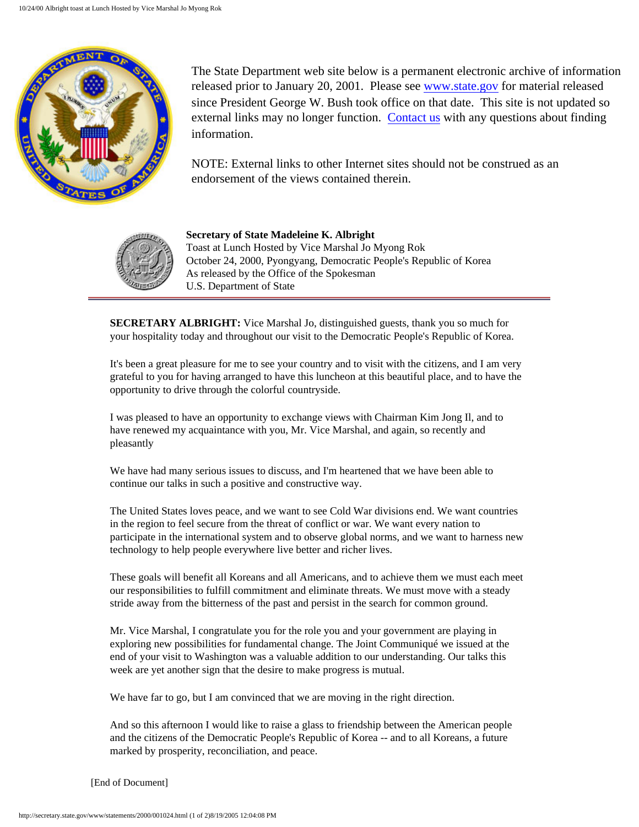

The State Department web site below is a permanent electronic archive of information released prior to January 20, 2001. Please see [www.state.gov](http://www.state.gov/) for material released since President George W. Bush took office on that date. This site is not updated so external links may no longer function. [Contact us](http://state.gov/documents/ContactUs.cfm) with any questions about finding information.

NOTE: External links to other Internet sites should not be construed as an endorsement of the views contained therein.



**Secretary of State Madeleine K. Albright** Toast at Lunch Hosted by Vice Marshal Jo Myong Rok October 24, 2000, Pyongyang, Democratic People's Republic of Korea As released by the Office of the Spokesman U.S. Department of State

**SECRETARY ALBRIGHT:** Vice Marshal Jo, distinguished guests, thank you so much for your hospitality today and throughout our visit to the Democratic People's Republic of Korea.

It's been a great pleasure for me to see your country and to visit with the citizens, and I am very grateful to you for having arranged to have this luncheon at this beautiful place, and to have the opportunity to drive through the colorful countryside.

I was pleased to have an opportunity to exchange views with Chairman Kim Jong Il, and to have renewed my acquaintance with you, Mr. Vice Marshal, and again, so recently and pleasantly

We have had many serious issues to discuss, and I'm heartened that we have been able to continue our talks in such a positive and constructive way.

The United States loves peace, and we want to see Cold War divisions end. We want countries in the region to feel secure from the threat of conflict or war. We want every nation to participate in the international system and to observe global norms, and we want to harness new technology to help people everywhere live better and richer lives.

These goals will benefit all Koreans and all Americans, and to achieve them we must each meet our responsibilities to fulfill commitment and eliminate threats. We must move with a steady stride away from the bitterness of the past and persist in the search for common ground.

Mr. Vice Marshal, I congratulate you for the role you and your government are playing in exploring new possibilities for fundamental change. The Joint Communiqué we issued at the end of your visit to Washington was a valuable addition to our understanding. Our talks this week are yet another sign that the desire to make progress is mutual.

We have far to go, but I am convinced that we are moving in the right direction.

And so this afternoon I would like to raise a glass to friendship between the American people and the citizens of the Democratic People's Republic of Korea -- and to all Koreans, a future marked by prosperity, reconciliation, and peace.

[End of Document]